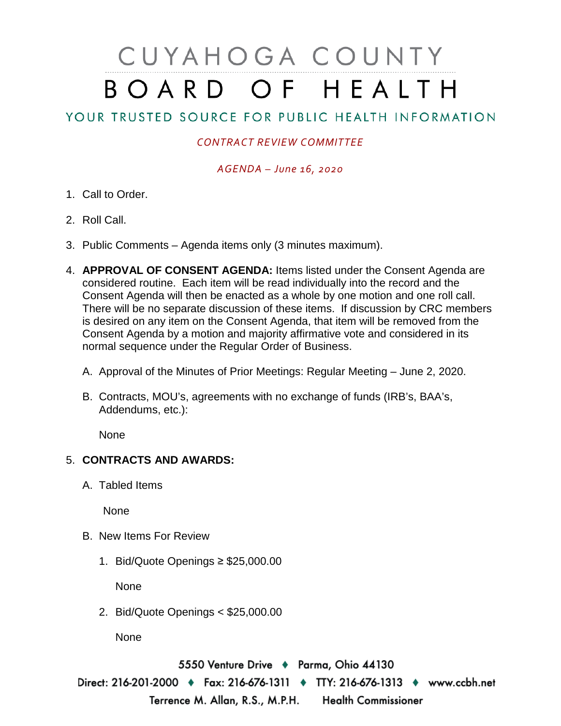# CUYAHOGA COUNTY BOARD OF HEALTH

## YOUR TRUSTED SOURCE FOR PUBLIC HEALTH INFORMATION

### *CONTRACT REVIEW COMMITTEE*

#### *AGENDA – June 16, 2020*

- 1. Call to Order.
- 2. Roll Call.
- 3. Public Comments Agenda items only (3 minutes maximum).
- 4. **APPROVAL OF CONSENT AGENDA:** Items listed under the Consent Agenda are considered routine. Each item will be read individually into the record and the Consent Agenda will then be enacted as a whole by one motion and one roll call. There will be no separate discussion of these items. If discussion by CRC members is desired on any item on the Consent Agenda, that item will be removed from the Consent Agenda by a motion and majority affirmative vote and considered in its normal sequence under the Regular Order of Business.
	- A. Approval of the Minutes of Prior Meetings: Regular Meeting June 2, 2020.
	- B. Contracts, MOU's, agreements with no exchange of funds (IRB's, BAA's, Addendums, etc.):

None

#### 5. **CONTRACTS AND AWARDS:**

A. Tabled Items

None

- B. New Items For Review
	- 1. Bid/Quote Openings ≥ \$25,000.00

None

2. Bid/Quote Openings < \$25,000.00

None

5550 Venture Drive + Parma, Ohio 44130 Direct: 216-201-2000 ♦ Fax: 216-676-1311 ♦ TTY: 216-676-1313 ♦ www.ccbh.net Terrence M. Allan, R.S., M.P.H. Health Commissioner